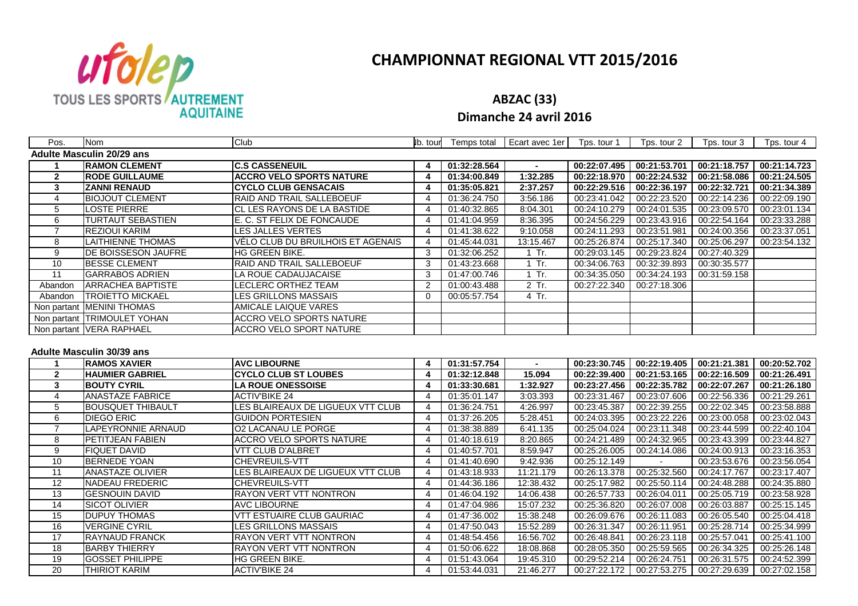

# **CHAMPIONNAT REGIONAL VTT 2015/2016**

**ABZAC (33)**

**Dimanche 24 avril 2016**

| Pos.            | <b>Nom</b>                       | Club                              | lb. tour                | Temps total                  | Ecart avec 1er | Tps. tour 1  | Tps. tour 2                  | Tps. tour 3                  | Tps. tour 4  |
|-----------------|----------------------------------|-----------------------------------|-------------------------|------------------------------|----------------|--------------|------------------------------|------------------------------|--------------|
|                 | <b>Adulte Masculin 20/29 ans</b> |                                   |                         |                              |                |              |                              |                              |              |
|                 | <b>RAMON CLEMENT</b>             | <b>C.S CASSENEUIL</b>             | 4                       | 01:32:28.564                 |                | 00:22:07.495 | 00:21:53.701                 | 00:21:18.757                 | 00:21:14.723 |
| $\mathbf{2}$    | <b>RODE GUILLAUME</b>            | <b>ACCRO VELO SPORTS NATURE</b>   | 4                       | 01:34:00.849                 | 1:32.285       | 00:22:18.970 | 00:22:24.532                 | 00:21:58.086                 | 00:21:24.505 |
| $\mathbf{3}$    | <b>ZANNI RENAUD</b>              | <b>CYCLO CLUB GENSACAIS</b>       | 4                       | 01:35:05.821                 | 2:37.257       | 00:22:29.516 | 00:22:36.197                 | 00:22:32.721                 | 00:21:34.389 |
| $\overline{4}$  | <b>BIOJOUT CLEMENT</b>           | RAID AND TRAIL SALLEBOEUF         | 4                       | 01:36:24.750                 | 3:56.186       | 00:23:41.042 | 00:22:23.520                 | 00:22:14.236                 | 00:22:09.190 |
| 5               | LOSTE PIERRE                     | CL LES RAYONS DE LA BASTIDE       | $\overline{4}$          | 01:40:32.865                 | 8:04.301       | 00:24:10.279 | 00:24:01.535                 | 00:23:09.570                 | 00:23:01.134 |
| 6               | TURTAUT SEBASTIEN                | E. C. ST FELIX DE FONCAUDE        | 4                       | 01:41:04.959                 | 8:36.395       | 00:24:56.229 | 00:23:43.916                 | 00:22:54.164                 | 00:23:33.288 |
| $\overline{7}$  | REZIOUI KARIM                    | LES JALLES VERTES                 | 4                       | 01:41:38.622                 | 9:10.058       | 00:24:11.293 | 00:23:51.981                 | 00:24:00.356                 | 00:23:37.051 |
| 8               | <b>LAITHIENNE THOMAS</b>         | VÉLO CLUB DU BRUILHOIS ET AGENAIS | $\overline{4}$          | 01:45:44.031                 | 13:15.467      | 00:25:26.874 | 00:25:17.340                 | 00:25:06.297                 | 00:23:54.132 |
| 9               | DE BOISSESON JAUFRE              | HG GREEN BIKE.                    | 3                       | 01:32:06.252                 | 1 Tr.          | 00:29:03.145 | 00:29:23.824                 | 00:27:40.329                 |              |
| 10              | <b>BESSE CLEMENT</b>             | RAID AND TRAIL SALLEBOEUF         | 3                       | 01:43:23.668                 | 1 Tr.          | 00:34:06.763 | 00:32:39.893                 | 00:30:35.577                 |              |
| $\overline{11}$ | <b>GARRABOS ADRIEN</b>           | LA ROUE CADAUJACAISE              | 3                       | 01:47:00.746                 | 1 Tr.          | 00:34:35.050 | 00:34:24.193                 | 00:31:59.158                 |              |
| Abandon         | <b>ARRACHEA BAPTISTE</b>         | <b>LECLERC ORTHEZ TEAM</b>        | $\overline{2}$          | 01:00:43.488                 | 2 Tr.          | 00:27:22.340 | 00:27:18.306                 |                              |              |
| Abandon         | <b>TROIETTO MICKAEL</b>          | LES GRILLONS MASSAIS              | $\Omega$                | 00:05:57.754                 | 4 Tr.          |              |                              |                              |              |
|                 | Non partant MENINI THOMAS        | AMICALE LAIQUE VARES              |                         |                              |                |              |                              |                              |              |
|                 | Non partant TRIMOULET YOHAN      | <b>ACCRO VELO SPORTS NATURE</b>   |                         |                              |                |              |                              |                              |              |
|                 | Non partant VERA RAPHAEL         | <b>ACCRO VELO SPORT NATURE</b>    |                         |                              |                |              |                              |                              |              |
|                 | <b>Adulte Masculin 30/39 ans</b> |                                   |                         |                              |                |              |                              |                              |              |
|                 |                                  |                                   |                         |                              |                |              |                              |                              |              |
| $\mathbf{1}$    | <b>RAMOS XAVIER</b>              | <b>AVC LIBOURNE</b>               | 4                       | 01:31:57.754                 | $\sim$         | 00:23:30.745 |                              |                              | 00:20:52.702 |
| $\mathbf{2}$    | <b>HAUMIER GABRIEL</b>           | <b>CYCLO CLUB ST LOUBES</b>       | $\overline{\mathbf{4}}$ | 01:32:12.848                 | 15.094         | 00:22:39.400 | 00:22:19.405<br>00:21:53.165 | 00:21:21.381<br>00:22:16.509 | 00:21:26.491 |
| $\mathbf{3}$    | <b>BOUTY CYRIL</b>               | <b>LA ROUE ONESSOISE</b>          | 4                       | 01:33:30.681                 | 1:32.927       | 00:23:27.456 | 00:22:35.782                 | 00:22:07.267                 | 00:21:26.180 |
| $\overline{4}$  | <b>ANASTAZE FABRICE</b>          | <b>ACTIV'BIKE 24</b>              | 4                       | 01:35:01.147                 | 3:03.393       | 00:23:31.467 | 00:23:07.606                 | 00:22:56.336                 | 00:21:29.261 |
| 5               | <b>BOUSQUET THIBAULT</b>         | LES BLAIREAUX DE LIGUEUX VTT CLUB | $\overline{4}$          | 01:36:24.751                 | 4:26.997       | 00:23:45.387 | 00:22:39.255                 | 00:22:02.345                 | 00:23:58.888 |
| 6               | <b>DIEGO ERIC</b>                | <b>GUIDON PORTESIEN</b>           | $\overline{4}$          | 01:37:26.205                 | 5:28.451       | 00:24:03.395 | 00:23:22.226                 | 00:23:00.058                 | 00:23:02.043 |
| $\overline{7}$  | LAPEYRONNIE ARNAUD               | O2 LACANAU LE PORGE               | 4                       | 01:38:38.889                 | 6:41.135       | 00:25:04.024 | 00:23:11.348                 | 00:23:44.599                 | 00:22:40.104 |
| 8               | PETITJEAN FABIEN                 | <b>ACCRO VELO SPORTS NATURE</b>   | $\overline{4}$          | 01:40:18.619                 | 8:20.865       | 00:24:21.489 | 00:24:32.965                 | 00:23:43.399                 | 00:23:44.827 |
| 9               | <b>FIQUET DAVID</b>              | <b>VTT CLUB D'ALBRET</b>          | 4                       | 01:40:57.701                 | 8:59.947       | 00:25:26.005 | 00:24:14.086                 | 00:24:00.913                 | 00:23:16.353 |
| 10              | <b>BERNEDE YOAN</b>              | <b>CHEVREUILS-VTT</b>             | 4                       | 01:41:40.690                 | 9:42.936       | 00:25:12.149 |                              | 00:23:53.676                 | 00:23:56.054 |
| 11              | <b>ANASTAZE OLIVIER</b>          | LES BLAIREAUX DE LIGUEUX VTT CLUB | 4                       | 01:43:18.933                 | 11:21.179      | 00:26:13.378 | 00:25:32.560                 | 00:24:17.767                 | 00:23:17.407 |
| 12              | NADEAU FREDERIC                  | CHEVREUILS-VTT                    | 4                       | 01:44:36.186                 | 12:38.432      | 00:25:17.982 | 00:25:50.114                 | 00:24:48.288                 | 00:24:35.880 |
| 13              | <b>GESNOUIN DAVID</b>            | <b>RAYON VERT VTT NONTRON</b>     | 4                       | 01:46:04.192                 | 14:06.438      | 00:26:57.733 | 00:26:04.011                 | 00:25:05.719                 | 00:23:58.928 |
| 14              | <b>SICOT OLIVIER</b>             | <b>AVC LIBOURNE</b>               | $\overline{4}$          | 01:47:04.986                 | 15:07.232      | 00:25:36.820 | 00:26:07.008                 | 00:26:03.887                 | 00:25:15.145 |
| 15              | <b>DUPUY THOMAS</b>              | <b>VTT ESTUAIRE CLUB GAURIAC</b>  | 4                       | 01:47:36.002                 | 15:38.248      | 00:26:09.676 | 00:26:11.083                 | 00:26:05.540                 | 00:25:04.418 |
| 16              | <b>VERGINE CYRIL</b>             | LES GRILLONS MASSAIS              | 4                       | 01:47:50.043                 | 15:52.289      | 00:26:31.347 | 00:26:11.951                 | 00:25:28.714                 | 00:25:34.999 |
| 17              | RAYNAUD FRANCK                   | <b>RAYON VERT VTT NONTRON</b>     | 4                       | 01:48:54.456                 | 16:56.702      | 00:26:48.841 | 00:26:23.118                 | 00:25:57.041                 | 00:25:41.100 |
| 18              | <b>BARBY THIERRY</b>             | RAYON VERT VTT NONTRON            | $\overline{4}$          | 01:50:06.622                 | 18:08.868      | 00:28:05.350 | 00:25:59.565                 | 00:26:34.325                 | 00:25:26.148 |
| 19              | <b>GOSSET PHILIPPE</b>           | HG GREEN BIKE.                    | 4                       | 01:51:43.064<br>01:53:44.031 | 19:45.310      | 00:29:52.214 | 00:26:24.751                 | 00:26:31.575                 | 00:24:52.399 |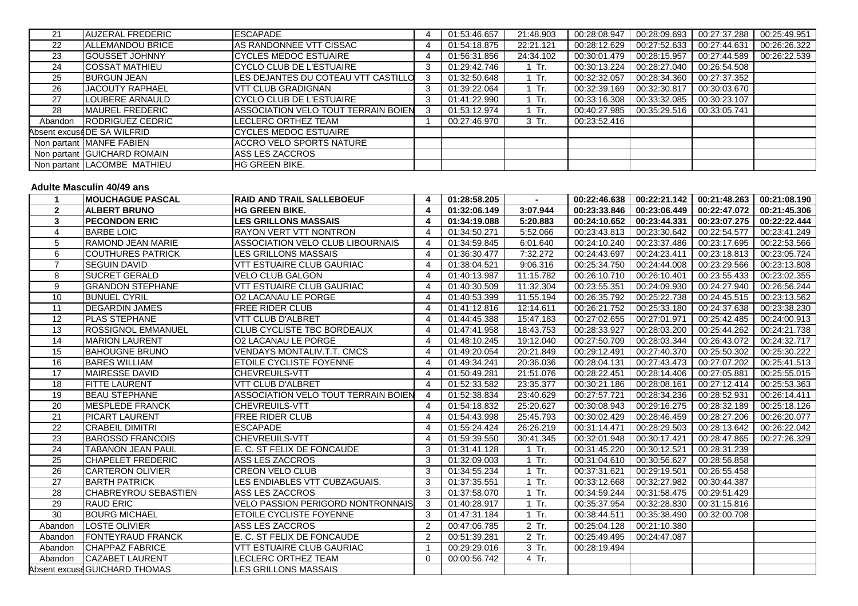| 21      | <b>AUZERAL FREDERIC</b>     | <b>ESCAPADE</b>                     | 01:53:46.657 | 21:48.903 | 00:28:08.947 | 00:28:09.693 | 00:27:37.288 | 00:25:49.951 |
|---------|-----------------------------|-------------------------------------|--------------|-----------|--------------|--------------|--------------|--------------|
| 22      | <b>ALLEMANDOU BRICE</b>     | AS RANDONNEE VTT CISSAC             | 01:54:18.875 | 22:21.121 | 00:28:12.629 | 00:27:52.633 | 00:27:44.631 | 00:26:26.322 |
| 23      | <b>IGOUSSET JOHNNY</b>      | <b>ICYCLES MEDOC ESTUAIRE</b>       | 01:56:31.856 | 24:34.102 | 00:30:01.479 | 00:28:15.957 | 00:27:44.589 | 00:26:22.539 |
| 24      | <b>COSSAT MATHIEU</b>       | <b>CYCLO CLUB DE L'ESTUAIRE</b>     | 01:29:42.746 | $1$ Tr.   | 00:30:13.224 | 00:28:27.040 | 00:26:54.508 |              |
| 25      | <b>BURGUN JEAN</b>          | LES DEJANTES DU COTEAU VTT CASTILLO | 01:32:50.648 | 1 Tr.     | 00:32:32.057 | 00:28:34.360 | 00:27:37.352 |              |
| 26      | <b>JACOUTY RAPHAEL</b>      | <b>VTT CLUB GRADIGNAN</b>           | 01:39:22.064 | 1 Tr.     | 00:32:39.169 | 00:32:30.817 | 00:30:03.670 |              |
| 27      | LOUBERE ARNAULD             | ICYCLO CLUB DE L'ESTUAIRE           | 01:41:22.990 | $1$ Tr.   | 00:33:16.308 | 00:33:32.085 | 00:30:23.107 |              |
| 28      | <b>MAUREL FREDERIC</b>      | ASSOCIATION VELO TOUT TERRAIN BOIEN | 01:53:12.974 | $1$ Tr.   | 00:40:27.985 | 00:35:29.516 | 00:33:05.741 |              |
| Abandon | <b>IRODRIGUEZ CEDRIC</b>    | LECLERC ORTHEZ TEAM                 | 00:27:46.970 | 3 Tr.     | 00:23:52.416 |              |              |              |
|         | Absent excuseDE SA WILFRID  | ICYCLES MEDOC ESTUAIRE              |              |           |              |              |              |              |
|         | Non partant MANFE FABIEN    | IACCRO VELO SPORTS NATURE           |              |           |              |              |              |              |
|         | Non partant GUICHARD ROMAIN | ASS LES ZACCROS                     |              |           |              |              |              |              |
|         | Non partant LACOMBE MATHIEU | <b>HG GREEN BIKE.</b>               |              |           |              |              |              |              |

#### **Adulte Masculin 40/49 ans**

|                       | <b>IMOUCHAGUE PASCAL</b>     | <b>RAID AND TRAIL SALLEBOEUF</b>         |                | 01:28:58.205 |           | 00:22:46.638 | 00:22:21.142 | 00:21:48.263              | 00:21:08.190 |
|-----------------------|------------------------------|------------------------------------------|----------------|--------------|-----------|--------------|--------------|---------------------------|--------------|
| $\mathbf{2}$          | <b>ALBERT BRUNO</b>          | <b>HG GREEN BIKE.</b>                    |                | 01:32:06.149 | 3:07.944  | 00:23:33.846 | 00:23:06.449 | 00:22:47.072              | 00:21:45.306 |
| 3                     | <b>IPECONDON ERIC</b>        | <b>LES GRILLONS MASSAIS</b>              |                | 01:34:19.088 | 5:20.883  | 00:24:10.652 | 00:23:44.331 | 00:23:07.275              | 00:22:22.444 |
| $\boldsymbol{\Delta}$ | <b>BARBE LOIC</b>            | <b>RAYON VERT VTT NONTRON</b>            |                | 01:34:50.271 | 5:52.066  | 00:23:43.813 | 00:23:30.642 | 00:22:54.577              | 00:23:41.249 |
| 5                     | RAMOND JEAN MARIE            | ASSOCIATION VELO CLUB LIBOURNAIS         |                | 01:34:59.845 | 6:01.640  | 00:24:10.240 | 00:23:37.486 | 00:23:17.695              | 00:22:53.566 |
| 6                     | <b>ICOUTHURES PATRICK</b>    | LES GRILLONS MASSAIS                     |                | 01:36:30.477 | 7:32.272  | 00:24:43.697 | 00:24:23.411 | 00:23:18.813              | 00:23:05.724 |
| $\overline{7}$        | <b>SEGUIN DAVID</b>          | <b>VTT ESTUAIRE CLUB GAURIAC</b>         |                | 01:38:04.521 | 9:06.316  | 00:25:34.750 | 00:24:44.008 | 00:23:29.566              | 00:23:13.808 |
| 8                     | <b>SUCRET GERALD</b>         | <b>VELO CLUB GALGON</b>                  |                | 01:40:13.987 | 11:15.782 | 00:26:10.710 | 00:26:10.401 | 00:23:55.433              | 00:23:02.355 |
| 9                     | <b>GRANDON STEPHANE</b>      | <b>VTT ESTUAIRE CLUB GAURIAC</b>         |                | 01:40:30.509 | 11:32.304 | 00:23:55.351 | 00:24:09.930 | 00:24:27.940              | 00:26:56.244 |
| 10                    | <b>BUNUEL CYRIL</b>          | <b>O2 LACANAU LE PORGE</b>               |                | 01:40:53.399 | 11:55.194 | 00:26:35.792 | 00:25:22.738 | 00:24:45.515              | 00:23:13.562 |
| 11                    | <b>DEGARDIN JAMES</b>        | FREE RIDER CLUB                          |                | 01:41:12.816 | 12:14.611 | 00:26:21.752 | 00:25:33.180 | 00:24:37.638              | 00:23:38.230 |
| 12                    | <b>PLAS STEPHANE</b>         | <b>VTT CLUB D'ALBRET</b>                 |                | 01:44:45.388 | 15:47.183 | 00:27:02.655 | 00:27:01.971 | 00:25:42.485              | 00:24:00.913 |
| 13                    | <b>ROSSIGNOL EMMANUEL</b>    | <b>ICLUB CYCLISTE TBC BORDEAUX</b>       |                | 01:47:41.958 | 18:43.753 | 00:28:33.927 | 00:28:03.200 | 00:25:44.262              | 00:24:21.738 |
| 14                    | <b>MARION LAURENT</b>        | <b>O2 LACANAU LE PORGE</b>               |                | 01:48:10.245 | 19:12.040 | 00:27:50.709 | 00:28:03.344 | 00:26:43.072              | 00:24:32.717 |
| 15                    | <b>BAHOUGNE BRUNO</b>        | <b>VENDAYS MONTALIV.T.T. CMCS</b>        |                | 01:49:20.054 | 20:21.849 | 00:29:12.491 | 00:27:40.370 | 00:25:50.302              | 00:25:30.222 |
| 16                    | <b>BARES WILLIAM</b>         | <b>ETOILE CYCLISTE FOYENNE</b>           |                | 01:49:34.241 | 20:36.036 | 00:28:04.131 | 00:27:43.473 | 00:27:07.202              | 00:25:41.513 |
| 17                    | <b>MAIRESSE DAVID</b>        | <b>CHEVREUILS-VTT</b>                    |                | 01:50:49.281 | 21:51.076 | 00:28:22.451 | 00:28:14.406 | 00:27:05.881              | 00:25:55.015 |
| 18                    | <b>FITTE LAURENT</b>         | <b>VTT CLUB D'ALBRET</b>                 |                | 01:52:33.582 | 23:35.377 | 00:30:21.186 | 00:28:08.161 | 00:27:12.414              | 00:25:53.363 |
| 19                    | <b>BEAU STEPHANE</b>         | ASSOCIATION VELO TOUT TERRAIN BOIEN      |                | 01:52:38.834 | 23:40.629 | 00:27:57.721 | 00:28:34.236 | 00:28:52.931              | 00:26:14.411 |
| 20                    | <b>MESPLEDE FRANCK</b>       | <b>ICHEVREUILS-VTT</b>                   |                | 01:54:18.832 | 25:20.627 | 00:30:08.943 | 00:29:16.275 | 00:28:32.189              | 00:25:18.126 |
| 21                    | <b>IPICART LAURENT</b>       | <b>FREE RIDER CLUB</b>                   |                | 01:54:43.998 | 25:45.793 | 00:30:02.429 | 00:28:46.459 | 00:28:27.206              | 00:26:20.077 |
| 22                    | <b>CRABEIL DIMITRI</b>       | <b>ESCAPADE</b>                          |                | 01:55:24.424 | 26:26.219 | 00:31:14.471 | 00:28:29.503 | 00:28:13.642              | 00:26:22.042 |
| 23                    | <b>BAROSSO FRANCOIS</b>      | <b>CHEVREUILS-VTT</b>                    |                | 01:59:39.550 | 30:41.345 | 00:32:01.948 | 00:30:17.421 | 00:28:47.865              | 00:27:26.329 |
| 24                    | <b>TABANON JEAN PAUL</b>     | E. C. ST FELIX DE FONCAUDE               | 3              | 01:31:41.128 | 1 Tr.     | 00:31:45.220 | 00:30:12.521 | 00:28:31.239              |              |
| 25                    | <b>CHAPELET FREDERIC</b>     | ASS LES ZACCROS                          | 3              | 01:32:09.003 | $1$ Tr.   | 00:31:04.610 | 00:30:56.627 | 00:28:56.858              |              |
| 26                    | <b>CARTERON OLIVIER</b>      | <b>CREON VELO CLUB</b>                   | 3              | 01:34:55.234 | $1$ Tr.   | 00:37:31.621 | 00:29:19.501 | 00:26:55.458              |              |
| 27                    | <b>BARTH PATRICK</b>         | LES ENDIABLES VTT CUBZAGUAIS.            | 3              | 01:37:35.551 | $1$ Tr.   | 00:33:12.668 | 00:32:27.982 | 00:30:44.387              |              |
| 28                    | <b>ICHABREYROU SEBASTIEN</b> | ASS LES ZACCROS                          | 3              | 01:37:58.070 | $1$ Tr.   | 00:34:59.244 | 00:31:58.475 | 00:29:51.429              |              |
| 29                    | <b>RAUD ERIC</b>             | <b>VELO PASSION PERIGORD NONTRONNAIS</b> | 3              | 01:40:28.917 | $1$ Tr.   | 00:35:37.954 | 00:32:28.830 | $\overline{00:}31:15.816$ |              |
| 30                    | <b>BOURG MICHAEL</b>         | <b>ETOILE CYCLISTE FOYENNE</b>           | 3              | 01:47:31.184 | $1$ Tr.   | 00:38:44.511 | 00:35:38.490 | 00:32:00.708              |              |
| Abandon               | <b>LOSTE OLIVIER</b>         | ASS LES ZACCROS                          | $\overline{2}$ | 00:47:06.785 | 2 Tr.     | 00:25:04.128 | 00:21:10.380 |                           |              |
| Abandon               | <b>FONTEYRAUD FRANCK</b>     | IE. C. ST FELIX DE FONCAUDE              |                | 00:51:39.281 | 2 Tr.     | 00:25:49.495 | 00:24:47.087 |                           |              |
| Abandon               | <b>CHAPPAZ FABRICE</b>       | <b>VTT ESTUAIRE CLUB GAURIAC</b>         |                | 00:29:29.016 | 3 Tr.     | 00:28:19.494 |              |                           |              |
| Abandon               | <b>CAZABET LAURENT</b>       | LECLERC ORTHEZ TEAM                      | $\Omega$       | 00:00:56.742 | 4 Tr.     |              |              |                           |              |
|                       | Absent excuséGUICHARD THOMAS | LES GRILLONS MASSAIS                     |                |              |           |              |              |                           |              |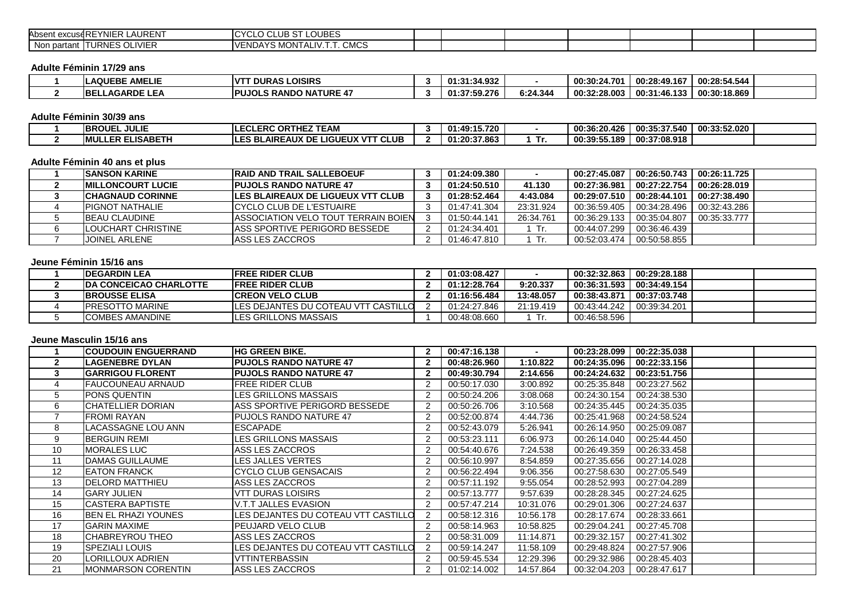| Absent excuseREYNIER LAURENT                                     | <b>LOUBES</b><br>$\sim$<br>$\sim$<br>$\sim$<br>וט טשטי<br>◡└◡ |  |  |  |  |
|------------------------------------------------------------------|---------------------------------------------------------------|--|--|--|--|
| <b>TURNES OLIVIER</b><br>$\overline{\phantom{a}}$<br>Non partant | <b>CMCS</b><br>YS MONTALIV.T.T.<br>"VENDA .                   |  |  |  |  |

#### **Adulte Féminin 17/29 ans**

| <b>LAQUEBE AMELIE</b>       | <b>IVTT DURAS LOISIRS</b>      | 01:31:34.932 |          | 00:30:24.701 | 00:28:49.167 | 00:28:54.544 |  |
|-----------------------------|--------------------------------|--------------|----------|--------------|--------------|--------------|--|
| LLAGARDE LEA<br><b>IBEL</b> | <b>IPUJOLS RANDO NATURE 47</b> | 01:37:59.276 | 6:24.344 | 00:32:28.003 | 00:31:46.133 | 00:30:18.869 |  |

#### **Adulte Féminin 30/39 ans**

| <b>IBROUEL JULIE</b>     | ------<br><b>ORT</b><br><b>LERC</b><br>65.<br>LvL               | 1:49:15.720<br><br>01.4. |   | 00:36:20.426     | 00:35:37.54<br>540 | 00:33:52.020 |  |
|--------------------------|-----------------------------------------------------------------|--------------------------|---|------------------|--------------------|--------------|--|
| <b>IMULLER ELISABETH</b> | <b>VTT CLUB</b><br><b>ILES BLAIREAUX DE I</b><br><b>LIGUEUX</b> | 01:20:37.863             | . | 00:39:55<br>.189 | 00:37:08.918       |              |  |

## **Adulte Féminin 40 ans et plus**

| <b>ISANSON KARINE</b>      | <b>IRAID AND TRAIL SALLEBOEUF</b>           | 01:24:09.380 | $\overline{\phantom{a}}$ | 00:27:45.087 | 00:26:50.743                | 00:26:11.725 |  |
|----------------------------|---------------------------------------------|--------------|--------------------------|--------------|-----------------------------|--------------|--|
| <b>IMILLONCOURT LUCIE</b>  | <b>IPUJOLS RANDO NATURE 47</b>              | 01:24:50.510 | 41.130                   | 00:27:36.981 | 00:27:22.754 L              | 00:26:28.019 |  |
| <b>ICHAGNAUD CORINNE</b>   | <b>ILES BLAIREAUX DE LIGUEUX VTT CLUB</b>   | 01:28:52.464 | 4:43.084                 |              |                             | 00:27:38.490 |  |
| <b>IPIGNOT NATHALIE</b>    | ICYCLO CLUB DE L'ESTUAIRE                   | 01:47:41.304 | 23:31.924                |              | 00:36:59.405   00:34:28.496 | 00:32:43.286 |  |
| <b>BEAU CLAUDINE</b>       | <b>IASSOCIATION VELO TOUT TERRAIN BOIEN</b> | 01:50:44.141 | 26:34.761                |              | 00:36:29.133   00:35:04.807 | 00:35:33.777 |  |
| <b>ILOUCHART CHRISTINE</b> | <b>LASS SPORTIVE PERIGORD BESSEDE</b>       | 01:24:34.401 | 1 Tr.                    | 00:44:07.299 | 00:36:46.439                |              |  |
| JOINEL ARLENE              | <b>ASS LES ZACCROS</b>                      | 01:46:47.810 | - Tr.                    | 00:52:03.474 | 00:50:58.855                |              |  |

# **Jeune Féminin 15/16 ans**

| <b>IDEGARDIN LEA</b>           | <b>IFREE RIDER CLUB</b>                     | 01:03:08.427 |           | 00:32:32.863 | 00:29:28.188 |  |
|--------------------------------|---------------------------------------------|--------------|-----------|--------------|--------------|--|
| <b>IDA CONCEICAO CHARLOTTE</b> | <b>IFREE RIDER CLUB</b>                     | 01:12:28.764 | 9:20.337  | 00:36:31.593 | 00:34:49.154 |  |
| <b>IBROUSSE ELISA</b>          | <b>ICREON VELO CLUB</b>                     | 01:16:56.484 | 13:48.057 | 00:38:43.871 | 00:37:03.748 |  |
| <b>IPRESOTTO MARINE</b>        | <b>ILES DEJANTES DU COTEAU VTT CASTILLO</b> | 01:24:27.846 | 21:19.419 | 00:43:44.242 | 00:39:34.201 |  |
| <b>ICOMBES AMANDINE</b>        | <b>ILES GRILLONS MASSAIS</b>                | 00:48:08.660 |           | 00:46:58.596 |              |  |

#### **Jeune Masculin 15/16 ans**

|             | <b>ICOUDOUIN ENGUERRAND</b> | IHG GREEN BIKE.                     | 00:47:16.138 | $\sim$    | 00:23:28.099 | 00:22:35.038 |  |
|-------------|-----------------------------|-------------------------------------|--------------|-----------|--------------|--------------|--|
|             | <b>LAGENEBRE DYLAN</b>      | <b>IPUJOLS RANDO NATURE 47</b>      | 00:48:26.960 | 1:10.822  | 00:24:35.096 | 00:22:33.156 |  |
|             | <b>IGARRIGOU FLORENT</b>    | <b>IPUJOLS RANDO NATURE 47</b>      | 00:49:30.794 | 2:14.656  | 00:24:24.632 | 00:23:51.756 |  |
|             | <b>FAUCOUNEAU ARNAUD</b>    | <b>FREE RIDER CLUB</b>              | 00:50:17.030 | 3:00.892  | 00:25:35.848 | 00:23:27.562 |  |
| $\mathbf b$ | <b>PONS QUENTIN</b>         | LES GRILLONS MASSAIS                | 00:50:24.206 | 3:08.068  | 00:24:30.154 | 00:24:38.530 |  |
| 6           | ICHATELLIER DORIAN          | ASS SPORTIVE PERIGORD BESSEDE       | 00:50:26.706 | 3:10.568  | 00:24:35.445 | 00:24:35.035 |  |
|             | <b>FROMI RAYAN</b>          | <b>PUJOLS RANDO NATURE 47</b>       | 00:52:00.874 | 4:44.736  | 00:25:41.968 | 00:24:58.524 |  |
| 8           | LACASSAGNE LOU ANN          | <b>ESCAPADE</b>                     | 00:52:43.079 | 5:26.941  | 00:26:14.950 | 00:25:09.087 |  |
| 9           | <b>BERGUIN REMI</b>         | LES GRILLONS MASSAIS                | 00:53:23.111 | 6:06.973  | 00:26:14.040 | 00:25:44.450 |  |
| 10          | <b>MORALES LUC</b>          | ASS LES ZACCROS                     | 00:54:40.676 | 7:24.538  | 00:26:49.359 | 00:26:33.458 |  |
| 11          | DAMAS GUILLAUME             | LES JALLES VERTES                   | 00:56:10.997 | 8:54.859  | 00:27:35.656 | 00:27:14.028 |  |
| 12          | <b>EATON FRANCK</b>         | CYCLO CLUB GENSACAIS                | 00:56:22.494 | 9:06.356  | 00:27:58.630 | 00:27:05.549 |  |
| 13          | <b>IDELORD MATTHIEU</b>     | ASS LES ZACCROS                     | 00:57:11.192 | 9:55.054  | 00:28:52.993 | 00:27:04.289 |  |
| 14          | <b>GARY JULIEN</b>          | <b>VTT DURAS LOISIRS</b>            | 00:57:13.777 | 9:57.639  | 00:28:28.345 | 00:27:24.625 |  |
| 15          | <b>CASTERA BAPTISTE</b>     | V.T.T JALLES EVASION                | 00:57:47.214 | 10:31.076 | 00:29:01.306 | 00:27:24.637 |  |
| 16          | <b>BEN EL RHAZI YOUNES</b>  | LES DEJANTES DU COTEAU VTT CASTILLO | 00:58:12.316 | 10:56.178 | 00:28:17.674 | 00:28:33.661 |  |
| 17          | <b>GARIN MAXIME</b>         | <b>IPEUJARD VELO CLUB</b>           | 00:58:14.963 | 10:58.825 | 00:29:04.241 | 00:27:45.708 |  |
| 18          | <b>ICHABREYROU THEO</b>     | ASS LES ZACCROS                     | 00:58:31.009 | 11:14.871 | 00:29:32.157 | 00:27:41.302 |  |
| 19          | <b>SPEZIALI LOUIS</b>       | LES DEJANTES DU COTEAU VTT CASTILLO | 00:59:14.247 | 11:58.109 | 00:29:48.824 | 00:27:57.906 |  |
| 20          | LORILLOUX ADRIEN            | <b>VTTINTERBASSIN</b>               | 00:59:45.534 | 12:29.396 | 00:29:32.986 | 00:28:45.403 |  |
| 21          | <b>MONMARSON CORENTIN</b>   | ASS LES ZACCROS                     | 01:02:14.002 | 14:57.864 | 00:32:04.203 | 00:28:47.617 |  |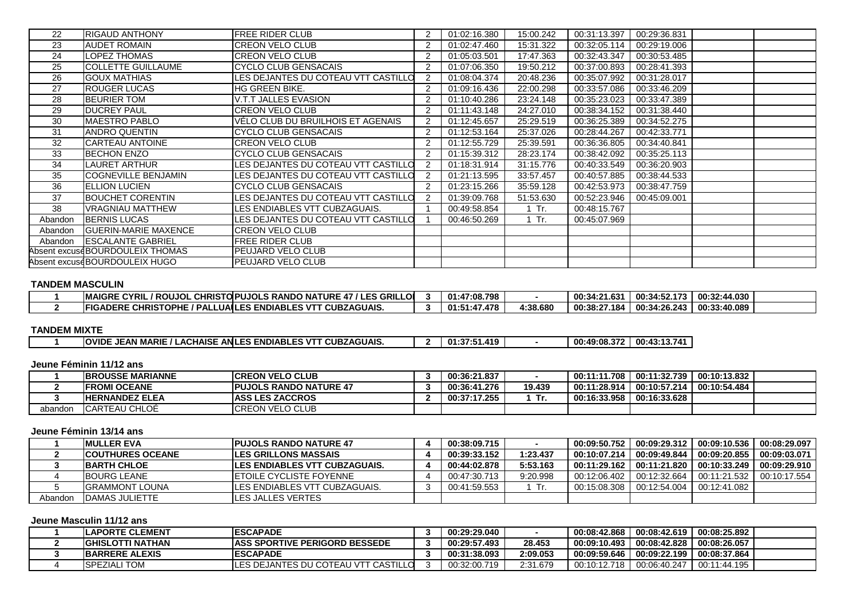| 22      | <b>RIGAUD ANTHONY</b>           | <b>FREE RIDER CLUB</b>              | 01:02:16.380 | 15:00.242 | 00:31:13.397 | 00:29:36.831 |  |
|---------|---------------------------------|-------------------------------------|--------------|-----------|--------------|--------------|--|
| 23      | <b>AUDET ROMAIN</b>             | <b>CREON VELO CLUB</b>              | 01:02:47.460 | 15:31.322 | 00:32:05.114 | 00:29:19.006 |  |
| 24      | LOPEZ THOMAS                    | <b>CREON VELO CLUB</b>              | 01:05:03.501 | 17:47.363 | 00:32:43.347 | 00:30:53.485 |  |
| 25      | <b>COLLETTE GUILLAUME</b>       | <b>CYCLO CLUB GENSACAIS</b>         | 01:07:06.350 | 19:50.212 | 00:37:00.893 | 00:28:41.393 |  |
| 26      | <b>GOUX MATHIAS</b>             | LES DEJANTES DU COTEAU VTT CASTILLO | 01:08:04.374 | 20:48.236 | 00:35:07.992 | 00:31:28.017 |  |
| 27      | <b>ROUGER LUCAS</b>             | <b>HG GREEN BIKE.</b>               | 01:09:16.436 | 22:00.298 | 00:33:57.086 | 00:33:46.209 |  |
| 28      | <b>BEURIER TOM</b>              | V.T.T JALLES EVASION                | 01:10:40.286 | 23:24.148 | 00:35:23.023 | 00:33:47.389 |  |
| 29      | <b>DUCREY PAUL</b>              | <b>CREON VELO CLUB</b>              | 01:11:43.148 | 24:27.010 | 00:38:34.152 | 00:31:38.440 |  |
| 30      | <b>MAESTRO PABLO</b>            | VELO CLUB DU BRUILHOIS ET AGENAIS   | 01:12:45.657 | 25:29.519 | 00:36:25.389 | 00:34:52.275 |  |
| 31      | <b>ANDRO QUENTIN</b>            | CYCLO CLUB GENSACAIS                | 01:12:53.164 | 25:37.026 | 00:28:44.267 | 00:42:33.771 |  |
| 32      | <b>CARTEAU ANTOINE</b>          | <b>CREON VELO CLUB</b>              | 01:12:55.729 | 25:39.591 | 00:36:36.805 | 00:34:40.841 |  |
| 33      | <b>BECHON ENZO</b>              | CYCLO CLUB GENSACAIS                | 01:15:39.312 | 28:23.174 | 00:38:42.092 | 00:35:25.113 |  |
| 34      | LAURET ARTHUR                   | LES DEJANTES DU COTEAU VTT CASTILLO | 01:18:31.914 | 31:15.776 | 00:40:33.549 | 00:36:20.903 |  |
| 35      | <b>COGNEVILLE BENJAMIN</b>      | LES DEJANTES DU COTEAU VTT CASTILLO | 01:21:13.595 | 33:57.457 | 00:40:57.885 | 00:38:44.533 |  |
| 36      | <b>ELLION LUCIEN</b>            | CYCLO CLUB GENSACAIS                | 01:23:15.266 | 35:59.128 | 00:42:53.973 | 00:38:47.759 |  |
| 37      | <b>BOUCHET CORENTIN</b>         | LES DEJANTES DU COTEAU VTT CASTILLO | 01:39:09.768 | 51:53.630 | 00:52:23.946 | 00:45:09.001 |  |
| 38      | <b>VRAGNIAU MATTHEW</b>         | LES ENDIABLES VTT CUBZAGUAIS.       | 00:49:58.854 | $1$ Tr.   | 00:48:15.767 |              |  |
| Abandon | <b>BERNIS LUCAS</b>             | LES DEJANTES DU COTEAU VTT CASTILLO | 00:46:50.269 | $1$ Tr.   | 00:45:07.969 |              |  |
| Abandon | <b>GUERIN-MARIE MAXENCE</b>     | <b>CREON VELO CLUB</b>              |              |           |              |              |  |
| Abandon | <b>IESCALANTE GABRIEL</b>       | <b>FREE RIDER CLUB</b>              |              |           |              |              |  |
|         | Absent excuseBOURDOULEIX THOMAS | PEUJARD VELO CLUB                   |              |           |              |              |  |
|         | Absent excuseBOURDOULEIX HUGO   | PEUJARD VELO CLUB                   |              |           |              |              |  |

#### **TANDEM MASCULIN**

| <b>ECYRIL</b><br><b>IMAIGRE</b><br><b>CHRIS</b><br>/ ROUJOL | <b>'LES GRILLOI</b><br>PUJOLS RANDO NA <sup>-</sup><br>. $f$ URE 47 $^\prime$<br><b>OPU</b> | 01:47:08.798 |          | 00:34:21.631 | 00:34:52.<br>172<br>. J | 00:32:44.030 |  |
|-------------------------------------------------------------|---------------------------------------------------------------------------------------------|--------------|----------|--------------|-------------------------|--------------|--|
| <b>IFIGADERE CHRISTOPHE</b><br>/ PAL<br>LUAILE              | <b>CUBZAGUAIS.</b><br><b>FS ENDIABLES VT1 J</b>                                             | 01:51:47.478 | 4:38.680 | 00:38:27.184 | 00:34:26.243            | 00:33:40.089 |  |

# **TANDEM MIXTE**

| <b>IAIS</b><br><b>OVIDE</b><br>MARII<br>AN'<br>AN.<br>^'<br> | <b>AGUAIS</b><br><br>. .<br>~<br>. ENP' | 440<br>n1<br>. .<br>--- | $\sim$ $\sim$<br>00:49:08 | 00:43:1<br>$\sim$<br>741<br>.<br>. |
|--------------------------------------------------------------|-----------------------------------------|-------------------------|---------------------------|------------------------------------|
|                                                              |                                         |                         |                           |                                    |

# **Jeune Féminin 11/12 ans**

|         | <b>IBROUSSE MARIANNE</b> | <b>ICREON VELO CLUB</b>        | 00:36:21.837 |        | 00:11:11.708 | 00:11:32.739   00:10:13.832 |  |
|---------|--------------------------|--------------------------------|--------------|--------|--------------|-----------------------------|--|
|         | <b>IFROMI OCEANE</b>     | <b>IPUJOLS RANDO NATURE 47</b> | 00:36:41.276 | 19.439 | 00:11:28.914 | 00:10:57.214 00:10:54.484   |  |
|         | <b>HERNANDEZ ELEA</b>    | <b>IASS LES ZACCROS</b>        | 00:37:17.255 | . Tr   | 00:16:33.958 | 00:16:33.628                |  |
| abandon | <b>CARTEAU CHLOE</b>     | <b>ICREON VELO CLUB</b>        |              |        |              |                             |  |

#### **Jeune Féminin 13/14 ans**

|         | <b>IMULLER EVA</b>       | <b>IPUJOLS RANDO NATURE 47</b>        | 00:38:09.715 |          | 00:09:50.752   |                                                             | 00:08:29.097 |
|---------|--------------------------|---------------------------------------|--------------|----------|----------------|-------------------------------------------------------------|--------------|
|         | <b>ICOUTHURES OCEANE</b> | <b>ILES GRILLONS MASSAIS</b>          | 00:39:33.152 | 1:23.437 | 00:10:07.214 l | $00:09:49.844$ 00:09:20.855                                 | 00:09:03.071 |
|         | <b>IBARTH CHLOE</b>      | <b>ILES ENDIABLES VTT CUBZAGUAIS.</b> | 00:44:02.878 | 5:53.163 |                | 00:11:29.162   00:11:21.820   00:10:33.249   00:09:29.910   |              |
|         | <b>IBOURG LEANE</b>      | <b>IETOILE CYCLISTE FOYENNE</b>       | 00:47:30.713 | 9:20.998 |                | 00:12:06.402 l 00:12:32.664 l 00:11:21.532 l 00:10:17.554 l |              |
|         | <b>IGRAMMONT LOUNA</b>   | <b>ILES ENDIABLES VTT CUBZAGUAIS.</b> | 00:41:59.553 | Tr.      | 00:15:08.308   | 00:12:54.004   00:12:41.082                                 |              |
| Abandon | <b>IDAMAS JULIETTE</b>   | <b>ILES JALLES VERTES</b>             |              |          |                |                                                             |              |

# **Jeune Masculin 11/12 ans**

| <b>IESCAPADE</b><br><b>ILAPORTE CLEMENT</b>                 | l 00:08:42.619 l 00:08:25.892<br>00:29:29.040<br>00:08:42.868                |
|-------------------------------------------------------------|------------------------------------------------------------------------------|
| <b>LASS SPORTIVE PERIGORD BESSEDE</b><br>IGHISLOTTI NATHAN  | 00:08:42.828   00:08:26.057<br>28.453<br>00:29:57.493<br>00:09:10.493        |
| <b>IESCAPADE</b><br><b>IBARRERE ALEXIS</b>                  | 00:09:59.646   00:09:22.199   00:08:37.864<br>2:09.053<br>00:31:38.093       |
| LES DEJANTES DU COTEAU VTT CASTILLO<br><b>ISPEZIALI TOM</b> | 00:32:00.719<br>′ I 00:11:44.195<br>2:31.679<br>00:10:12.718<br>00:06:40.247 |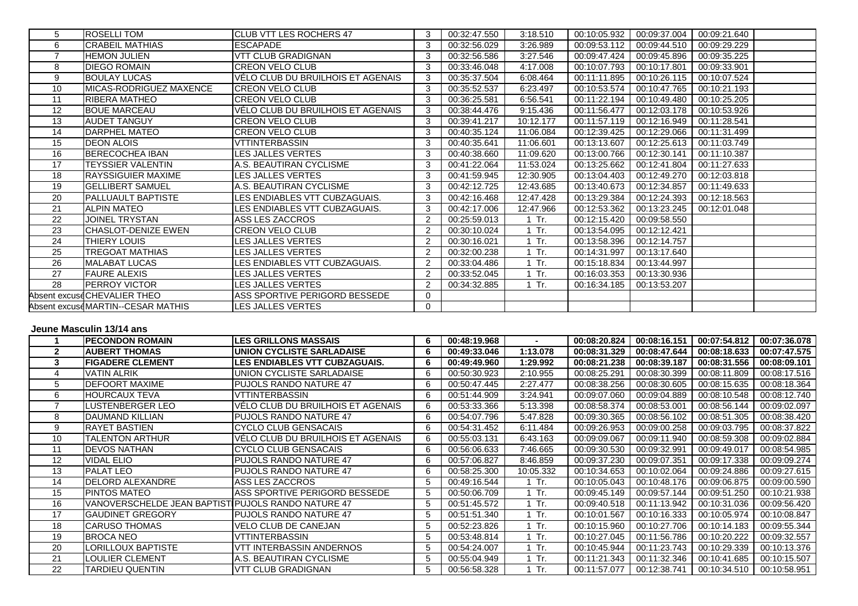| 5  | <b>ROSELLI TOM</b>                | <b>ICLUB VTT LES ROCHERS 47</b>   |   | 00:32:47.550 | 3:18.510  | 00:10:05.932 | 00:09:37.004 | 00:09:21.640 |  |
|----|-----------------------------------|-----------------------------------|---|--------------|-----------|--------------|--------------|--------------|--|
| 6  | <b>CRABEIL MATHIAS</b>            | <b>ESCAPADE</b>                   | 3 | 00:32:56.029 | 3:26.989  | 00:09:53.112 | 00:09:44.510 | 00:09:29.229 |  |
|    | <b>HEMON JULIEN</b>               | VTT CLUB GRADIGNAN                |   | 00:32:56.586 | 3:27.546  | 00:09:47.424 | 00:09:45.896 | 00:09:35.225 |  |
| 8  | <b>DIEGO ROMAIN</b>               | <b>CREON VELO CLUB</b>            |   | 00:33:46.048 | 4:17.008  | 00:10:07.793 | 00:10:17.801 | 00:09:33.901 |  |
| 9  | <b>BOULAY LUCAS</b>               | VELO CLUB DU BRUILHOIS ET AGENAIS |   | 00:35:37.504 | 6:08.464  | 00:11:11.895 | 00:10:26.115 | 00:10:07.524 |  |
| 10 | MICAS-RODRIGUEZ MAXENCE           | <b>ICREON VELO CLUB</b>           |   | 00:35:52.537 | 6:23.497  | 00:10:53.574 | 00:10:47.765 | 00:10:21.193 |  |
| 11 | <b>RIBERA MATHEO</b>              | <b>CREON VELO CLUB</b>            |   | 00:36:25.581 | 6:56.541  | 00:11:22.194 | 00:10:49.480 | 00:10:25.205 |  |
| 12 | <b>BOUE MARCEAU</b>               | VÉLO CLUB DU BRUILHOIS ET AGENAIS | 3 | 00:38:44.476 | 9:15.436  | 00:11:56.477 | 00:12:03.178 | 00:10:53.926 |  |
| 13 | <b>AUDET TANGUY</b>               | <b>CREON VELO CLUB</b>            | 3 | 00:39:41.217 | 10:12.177 | 00:11:57.119 | 00:12:16.949 | 00:11:28.541 |  |
| 14 | DARPHEL MATEO                     | <b>CREON VELO CLUB</b>            |   | 00:40:35.124 | 11:06.084 | 00:12:39.425 | 00:12:29.066 | 00:11:31.499 |  |
| 15 | <b>DEON ALOIS</b>                 | <b>VTTINTERBASSIN</b>             |   | 00:40:35.641 | 11:06.601 | 00:13:13.607 | 00:12:25.613 | 00:11:03.749 |  |
| 16 | <b>BERECOCHEA IBAN</b>            | LES JALLES VERTES                 |   | 00:40:38.660 | 11:09.620 | 00:13:00.766 | 00:12:30.141 | 00:11:10.387 |  |
| 17 | TEYSSIER VALENTIN                 | A.S. BEAUTIRAN CYCLISME           |   | 00:41:22.064 | 11:53.024 | 00:13:25.662 | 00:12:41.804 | 00:11:27.633 |  |
| 18 | <b>RAYSSIGUIER MAXIME</b>         | LES JALLES VERTES                 |   | 00:41:59.945 | 12:30.905 | 00:13:04.403 | 00:12:49.270 | 00:12:03.818 |  |
| 19 | <b>I</b> GELLIBERT SAMUEL         | A.S. BEAUTIRAN CYCLISME           |   | 00:42:12.725 | 12:43.685 | 00:13:40.673 | 00:12:34.857 | 00:11:49.633 |  |
| 20 | <b>PALLUAULT BAPTISTE</b>         | LES ENDIABLES VTT CUBZAGUAIS.     |   | 00:42:16.468 | 12:47.428 | 00:13:29.384 | 00:12:24.393 | 00:12:18.563 |  |
| 21 | <b>ALPIN MATEO</b>                | LES ENDIABLES VTT CUBZAGUAIS.     |   | 00:42:17.006 | 12:47.966 | 00:12:53.362 | 00:13:23.245 | 00:12:01.048 |  |
| 22 | JOINEL TRYSTAN                    | ASS LES ZACCROS                   |   | 00:25:59.013 | 1 Tr.     | 00:12:15.420 | 00:09:58.550 |              |  |
| 23 | <b>CHASLOT-DENIZE EWEN</b>        | <b>CREON VELO CLUB</b>            |   | 00:30:10.024 | Tr.       | 00:13:54.095 | 00:12:12.421 |              |  |
| 24 | THIERY LOUIS                      | LES JALLES VERTES                 |   | 00:30:16.021 | Tr.       | 00:13:58.396 | 00:12:14.757 |              |  |
| 25 | TREGOAT MATHIAS                   | LES JALLES VERTES                 |   | 00:32:00.238 | Tr.       | 00:14:31.997 | 00:13:17.640 |              |  |
| 26 | <b>MALABAT LUCAS</b>              | LES ENDIABLES VTT CUBZAGUAIS.     |   | 00:33:04.486 | $1$ Tr.   | 00:15:18.834 | 00:13:44.997 |              |  |
| 27 | <b>FAURE ALEXIS</b>               | LES JALLES VERTES                 |   | 00:33:52.045 | 1 Tr.     | 00:16:03.353 | 00:13:30.936 |              |  |
| 28 | <b>PERROY VICTOR</b>              | LES JALLES VERTES                 |   | 00:34:32.885 | 1 Tr.     | 00:16:34.185 | 00:13:53.207 |              |  |
|    | Absent excuseCHEVALIER THEO       | ASS SPORTIVE PERIGORD BESSEDE     | 0 |              |           |              |              |              |  |
|    | Absent excuseMARTIN--CESAR MATHIS | LES JALLES VERTES                 | 0 |              |           |              |              |              |  |

### **Jeune Masculin 13/14 ans**

|                   | <b>PECONDON ROMAIN</b>      | <b>LES GRILLONS MASSAIS</b>       | 00:48:19.968 |           | 00:08:20.824 | 00:08:16.151 | 00:07:54.812 | 00:07:36.078 |
|-------------------|-----------------------------|-----------------------------------|--------------|-----------|--------------|--------------|--------------|--------------|
|                   | <b>AUBERT THOMAS</b>        | <b>UNION CYCLISTE SARLADAISE</b>  | 00:49:33.046 | 1:13.078  | 00:08:31.329 | 00:08:47.644 | 00:08:18.633 | 00:07:47.575 |
|                   | <b>IFIGADERE CLEMENT</b>    | LES ENDIABLES VTT CUBZAGUAIS.     | 00:49:49.960 | 1:29.992  | 00:08:21.238 | 00:08:39.187 | 00:08:31.556 | 00:08:09.101 |
|                   | <b>VATIN ALRIK</b>          | UNION CYCLISTE SARLADAISE         | 00:50:30.923 | 2:10.955  | 00:08:25.291 | 00:08:30.399 | 00:08:11.809 | 00:08:17.516 |
| 5                 | <b>DEFOORT MAXIME</b>       | PUJOLS RANDO NATURE 47            | 00:50:47.445 | 2:27.477  | 00:08:38.256 | 00:08:30.605 | 00:08:15.635 | 00:08:18.364 |
| 6                 | HOURCAUX TEVA               | <b>VTTINTERBASSIN</b>             | 00:51:44.909 | 3:24.941  | 00:09:07.060 | 00:09:04.889 | 00:08:10.548 | 00:08:12.740 |
|                   | LUSTENBERGER LEO            | VELO CLUB DU BRUILHOIS ET AGENAIS | 00:53:33.366 | 5:13.398  | 00:08:58.374 | 00:08:53.001 | 00:08:56.144 | 00:09:02.097 |
| 8                 | DAUMAND KILLIAN             | <b>PUJOLS RANDO NATURE 47</b>     | 00:54:07.796 | 5:47.828  | 00:09:30.365 | 00:08:56.102 | 00:08:51.305 | 00:08:38.420 |
| 9                 | <b>RAYET BASTIEN</b>        | CYCLO CLUB GENSACAIS              | 00:54:31.452 | 6:11.484  | 00:09:26.953 | 00:09:00.258 | 00:09:03.795 | 00:08:37.822 |
| 10                | <b>TALENTON ARTHUR</b>      | VELO CLUB DU BRUILHOIS ET AGENAIS | 00:55:03.131 | 6:43.163  | 00:09:09.067 | 00:09:11.940 | 00:08:59.308 | 00:09:02.884 |
| 11                | <b>DEVOS NATHAN</b>         | CYCLO CLUB GENSACAIS              | 00:56:06.633 | 7:46.665  | 00:09:30.530 | 00:09:32.991 | 00:09:49.017 | 00:08:54.985 |
| $12 \overline{ }$ | <b>VIDAL ELIO</b>           | <b>PUJOLS RANDO NATURE 47</b>     | 00:57:06.827 | 8:46.859  | 00:09:37.230 | 00:09:07.351 | 00:09:17.338 | 00:09:09.274 |
| 13                | <b>PALAT LEO</b>            | <b>PUJOLS RANDO NATURE 47</b>     | 00:58:25.300 | 10:05.332 | 00:10:34.653 | 00:10:02.064 | 00:09:24.886 | 00:09:27.615 |
| 14                | <b>DELORD ALEXANDRE</b>     | ASS LES ZACCROS                   | 00:49:16.544 | $1$ Tr.   | 00:10:05.043 | 00:10:48.176 | 00:09:06.875 | 00:09:00.590 |
| 15                | <b>PINTOS MATEO</b>         | ASS SPORTIVE PERIGORD BESSEDE     | 00:50:06.709 | Tr.       | 00:09:45.149 | 00:09:57.144 | 00:09:51.250 | 00:10:21.938 |
| 16                | VANOVERSCHELDE JEAN BAPTIST | <b>IPUJOLS RANDO NATURE 47</b>    | 00:51:45.572 | Tr.       | 00:09:40.518 | 00:11:13.942 | 00:10:31.036 | 00:09:56.420 |
| 17                | <b>GAUDINET GREGORY</b>     | <b>PUJOLS RANDO NATURE 47</b>     | 00:51:51.340 | Tr.       | 00:10:01.567 | 00:10:16.333 | 00:10:05.974 | 00:10:08.847 |
| 18                | <b>CARUSO THOMAS</b>        | <b>VELO CLUB DE CANEJAN</b>       | 00:52:23.826 | Tr.       | 00:10:15.960 | 00:10:27.706 | 00:10:14.183 | 00:09:55.344 |
| 19                | <b>BROCA NEO</b>            | <b>VTTINTERBASSIN</b>             | 00:53:48.814 | Tr.       | 00:10:27.045 | 00:11:56.786 | 00:10:20.222 | 00:09:32.557 |
| 20                | LORILLOUX BAPTISTE          | <b>VTT INTERBASSIN ANDERNOS</b>   | 00:54:24.007 | Tr.       | 00:10:45.944 | 00:11:23.743 | 00:10:29.339 | 00:10:13.376 |
| 21                | LOULIER CLEMENT             | A.S. BEAUTIRAN CYCLISME           | 00:55:04.949 | Tr.       | 00:11:21.343 | 00:11:32.346 | 00:10:41.685 | 00:10:15.507 |
| 22                | TARDIEU QUENTIN             | <b>VTT CLUB GRADIGNAN</b>         | 00:56:58.328 | Tr.       | 00:11:57.077 | 00:12:38.741 | 00:10:34.510 | 00:10:58.951 |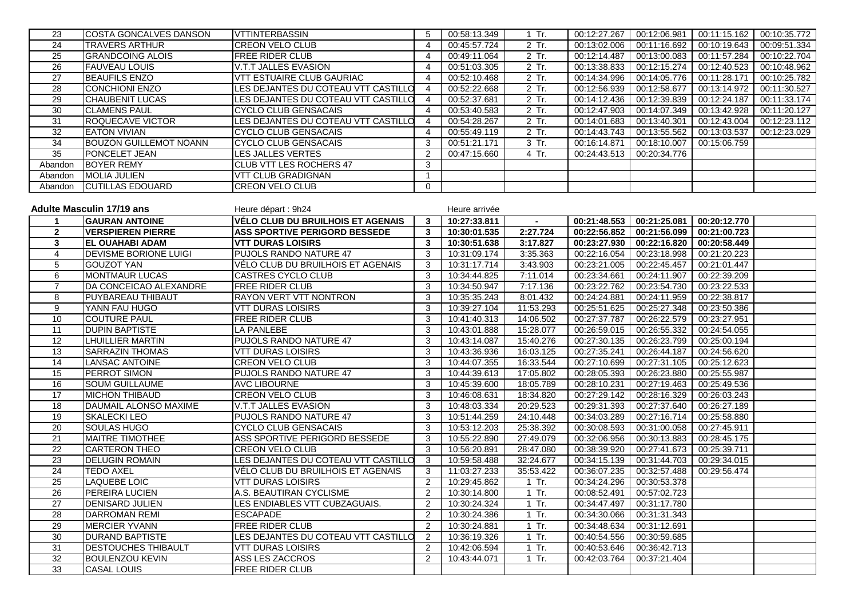| 23              | COSTA GONCALVES DANSON           | <b>IVTTINTERBASSIN</b>                   | 5              | 00:58:13.349  | 1 Tr.     |                            | 00:12:27.267   00:12:06.981 | 00:11:15.162 | 00:10:35.772 |
|-----------------|----------------------------------|------------------------------------------|----------------|---------------|-----------|----------------------------|-----------------------------|--------------|--------------|
| 24              | <b>TRAVERS ARTHUR</b>            | <b>CREON VELO CLUB</b>                   | 4              | 00:45:57.724  | 2 Tr.     | 00:13:02.006               | 00:11:16.692                | 00:10:19.643 | 00:09:51.334 |
| 25              | <b>GRANDCOING ALOIS</b>          | <b>FREE RIDER CLUB</b>                   | 4              | 00:49:11.064  | 2 Tr.     | 00:12:14.487               | 00:13:00.083                | 00:11:57.284 | 00:10:22.704 |
| 26              | <b>FAUVEAU LOUIS</b>             | V.T.T JALLES EVASION                     | 4              | 00:51:03.305  | 2 Tr.     | $\overline{00}$ :13:38.833 | 00:12:15.274                | 00:12:40.523 | 00:10:48.962 |
| 27              | <b>BEAUFILS ENZO</b>             | VTT ESTUAIRE CLUB GAURIAC                | 4              | 00:52:10.468  | 2 Tr.     | 00:14:34.996               | 00:14:05.776                | 00:11:28.171 | 00:10:25.782 |
| 28              | CONCHIONI ENZO                   | LES DEJANTES DU COTEAU VTT CASTILLO      | 4              | 00:52:22.668  | 2 Tr.     | 00:12:56.939               | 00:12:58.677                | 00:13:14.972 | 00:11:30.527 |
| 29              | <b>CHAUBENIT LUCAS</b>           | LES DEJANTES DU COTEAU VTT CASTILLO      | 4              | 00:52:37.681  | 2 Tr.     | 00:14:12.436               | 00:12:39.839                | 00:12:24.187 | 00:11:33.174 |
| 30              | <b>CLAMENS PAUL</b>              | <b>CYCLO CLUB GENSACAIS</b>              | $\overline{4}$ | 00:53:40.583  | 2 Tr.     | 00:12:47.903               | 00:14:07.349                | 00:13:42.928 | 00:11:20.127 |
| 31              | ROQUECAVE VICTOR                 | LES DEJANTES DU COTEAU VTT CASTILLO      | 4              | 00:54:28.267  | 2 Tr.     | 00:14:01.683               | 00:13:40.301                | 00:12:43.004 | 00:12:23.112 |
| 32              | <b>EATON VIVIAN</b>              | CYCLO CLUB GENSACAIS                     | 4              | 00:55:49.119  | 2 Tr.     | 00:14:43.743               | 00:13:55.562                | 00:13:03.537 | 00:12:23.029 |
| 34              | <b>BOUZON GUILLEMOT NOANN</b>    | <b>CYCLO CLUB GENSACAIS</b>              | 3              | 00:51:21.171  | $3$ Tr.   | 00:16:14.871               | 00:18:10.007                | 00:15:06.759 |              |
| 35              | PONCELET JEAN                    | LES JALLES VERTES                        | 2              | 00:47:15.660  | 4 Tr.     | 00:24:43.513               | 00:20:34.776                |              |              |
| Abandon         | <b>BOYER REMY</b>                | CLUB VTT LES ROCHERS 47                  | 3              |               |           |                            |                             |              |              |
| Abandon         | <b>MOLIA JULIEN</b>              | <b>VTT CLUB GRADIGNAN</b>                | $\mathbf 1$    |               |           |                            |                             |              |              |
| Abandon         | <b>CUTILLAS EDOUARD</b>          | <b>CREON VELO CLUB</b>                   | 0              |               |           |                            |                             |              |              |
|                 |                                  |                                          |                |               |           |                            |                             |              |              |
|                 | <b>Adulte Masculin 17/19 ans</b> | Heure départ : 9h24                      |                | Heure arrivée |           |                            |                             |              |              |
| $\mathbf 1$     | <b>GAURAN ANTOINE</b>            | <b>VÉLO CLUB DU BRUILHOIS ET AGENAIS</b> | $\mathbf{3}$   | 10:27:33.811  | $\sim$    | 00:21:48.553               | 00:21:25.081                | 00:20:12.770 |              |
| $\mathbf{2}$    | <b>VERSPIEREN PIERRE</b>         | <b>ASS SPORTIVE PERIGORD BESSEDE</b>     | 3              | 10:30:01.535  | 2:27.724  | 00:22:56.852               | 00:21:56.099                | 00:21:00.723 |              |
| 3               | <b>EL OUAHABI ADAM</b>           | <b>VTT DURAS LOISIRS</b>                 | 3              | 10:30:51.638  | 3:17.827  | 00:23:27.930               | 00:22:16.820                | 00:20:58.449 |              |
| 4               | DEVISME BORIONE LUIGI            | PUJOLS RANDO NATURE 47                   | 3              | 10:31:09.174  | 3:35.363  | 00:22:16.054               | 00:23:18.998                | 00:21:20.223 |              |
| 5               | <b>GOUZOT YAN</b>                | VÉLO CLUB DU BRUILHOIS ET AGENAIS        | 3              | 10:31:17.714  | 3:43.903  | 00:23:21.005               | 00:22:45.457                | 00:21:01.447 |              |
| 6               | <b>MONTMAUR LUCAS</b>            | <b>CASTRES CYCLO CLUB</b>                | 3              | 10:34:44.825  | 7:11.014  | 00:23:34.661               | 00:24:11.907                | 00:22:39.209 |              |
| $\overline{7}$  | DA CONCEICAO ALEXANDRE           | FREE RIDER CLUB                          | 3              | 10:34:50.947  | 7:17.136  | 00:23:22.762               | 00:23:54.730                | 00:23:22.533 |              |
| 8               | PUYBAREAU THIBAUT                | RAYON VERT VTT NONTRON                   | 3              | 10:35:35.243  | 8:01.432  | 00:24:24.881               | 00:24:11.959                | 00:22:38.817 |              |
| 9               | YANN FAU HUGO                    | <b>VTT DURAS LOISIRS</b>                 | 3              | 10:39:27.104  | 11:53.293 | 00:25:51.625               | 00:25:27.348                | 00:23:50.386 |              |
| 10              | <b>COUTURE PAUL</b>              | <b>FREE RIDER CLUB</b>                   | 3              | 10:41:40.313  | 14:06.502 | 00:27:37.787               | 00:26:22.579                | 00:23:27.951 |              |
| 11              | <b>DUPIN BAPTISTE</b>            | <b>LA PANLEBE</b>                        | 3              | 10:43:01.888  | 15:28.077 | 00:26:59.015               | 00:26:55.332                | 00:24:54.055 |              |
| 12              | LHUILLIER MARTIN                 | PUJOLS RANDO NATURE 47                   | 3              | 10:43:14.087  | 15:40.276 | 00:27:30.135               | 00:26:23.799                | 00:25:00.194 |              |
| 13              | SARRAZIN THOMAS                  | <b>VTT DURAS LOISIRS</b>                 | 3              | 10:43:36.936  | 16:03.125 | 00:27:35.241               | 00:26:44.187                | 00:24:56.620 |              |
| $\overline{14}$ | <b>LANSAC ANTOINE</b>            | <b>CREON VELO CLUB</b>                   | 3              | 10:44:07.355  | 16:33.544 | 00:27:10.699               | 00:27:31.105                | 00:25:12.623 |              |
| 15              | PERROT SIMON                     | PUJOLS RANDO NATURE 47                   | 3              | 10:44:39.613  | 17:05.802 | 00:28:05.393               | 00:26:23.880                | 00:25:55.987 |              |
| 16              | <b>SOUM GUILLAUME</b>            | <b>AVC LIBOURNE</b>                      | 3              | 10:45:39.600  | 18:05.789 | 00:28:10.231               | 00:27:19.463                | 00:25:49.536 |              |
| 17              | <b>MICHON THIBAUD</b>            | CREON VELO CLUB                          | 3              | 10:46:08.631  | 18:34.820 | 00:27:29.142               | 00:28:16.329                | 00:26:03.243 |              |
| 18              | DAUMAIL ALONSO MAXIME            | V.T.T JALLES EVASION                     | 3              | 10:48:03.334  | 20:29.523 | 00:29:31.393               | 00:27:37.640                | 00:26:27.189 |              |
| 19              | <b>SKALECKI LEO</b>              | PUJOLS RANDO NATURE 47                   | 3              | 10:51:44.259  | 24:10.448 | 00:34:03.289               | 00:27:16.714                | 00:25:58.880 |              |
| 20              | SOULAS HUGO                      | CYCLO CLUB GENSACAIS                     | 3              | 10:53:12.203  | 25:38.392 | 00:30:08.593               | 00:31:00.058                | 00:27:45.911 |              |
| $\overline{21}$ | <b>MAITRE TIMOTHEE</b>           | ASS SPORTIVE PERIGORD BESSEDE            | 3              | 10:55:22.890  | 27:49.079 | 00:32:06.956               | 00:30:13.883                | 00:28:45.175 |              |
| $\overline{22}$ | CARTERON THEO                    | CREON VELO CLUB                          | 3              | 10:56:20.891  | 28:47.080 | 00:38:39.920               | 00:27:41.673                | 00:25:39.711 |              |
| 23              | <b>DELUGIN ROMAIN</b>            | LES DEJANTES DU COTEAU VTT CASTILLO      | 3              | 10:59:58.488  | 32:24.677 | 00:34:15.139               | 00:31:44.703                | 00:29:34.015 |              |
| $\overline{24}$ | <b>TEDO AXEL</b>                 | VÉLO CLUB DU BRUILHOIS ET AGENAIS        | 3              | 11:03:27.233  | 35:53.422 | 00:36:07.235               | 00:32:57.488                | 00:29:56.474 |              |
| $\overline{25}$ | <b>LAQUEBE LOIC</b>              | <b>VTT DURAS LOISIRS</b>                 | $\overline{2}$ | 10:29:45.862  | 1 Tr.     |                            | 00:34:24.296 00:30:53.378   |              |              |
| 26              | PEREIRA LUCIEN                   | A.S. BEAUTIRAN CYCLISME                  | $\overline{2}$ | 10:30:14.800  | 1 Tr.     | 00:08:52.491               | 00:57:02.723                |              |              |
| 27              | <b>DENISARD JULIEN</b>           | LES ENDIABLES VTT CUBZAGUAIS.            | 2              | 10:30:24.324  | $1$ Tr.   | 00:34:47.497               | 00:31:17.780                |              |              |
| 28              | <b>DARROMAN REMI</b>             | <b>ESCAPADE</b>                          | 2              | 10:30:24.386  | 1 Tr.     | 00:34:30.066               | 00:31:31.343                |              |              |
| 29              | <b>MERCIER YVANN</b>             | <b>FREE RIDER CLUB</b>                   | $\overline{2}$ | 10:30:24.881  | 1 Tr.     | 00:34:48.634               | 00:31:12.691                |              |              |
| 30              | <b>DURAND BAPTISTE</b>           | LES DEJANTES DU COTEAU VTT CASTILLO      | 2              | 10:36:19.326  | $1$ Tr.   | 00:40:54.556               | 00:30:59.685                |              |              |
| 31              | <b>DESTOUCHES THIBAULT</b>       | <b>VTT DURAS LOISIRS</b>                 | $\overline{2}$ | 10:42:06.594  | $1$ Tr.   | 00:40:53.646               | 00:36:42.713                |              |              |
| 32              | <b>BOULENZOU KEVIN</b>           | <b>ASS LES ZACCROS</b>                   | $\overline{2}$ | 10:43:44.071  | $1$ Tr.   | 00:42:03.764               | 00:37:21.404                |              |              |
| 33              | <b>CASAL LOUIS</b>               | FREE RIDER CLUB                          |                |               |           |                            |                             |              |              |